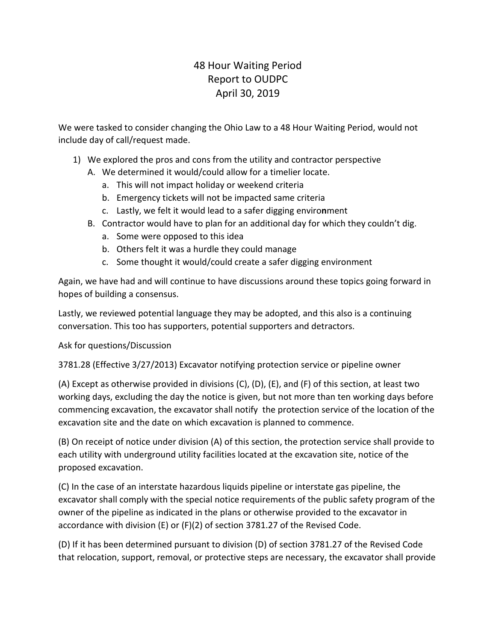## 48 Hour Waiting Period Report to OUDPC April 30, 2019

We were tasked to consider changing the Ohio Law to a 48 Hour Waiting Period, would not include day of call/request made.

- 1) We explored the pros and cons from the utility and contractor perspective
	- A. We determined it would/could allow for a timelier locate.
		- a. This will not impact holiday or weekend criteria
		- b. Emergency tickets will not be impacted same criteria
		- c. Lastly, we felt it would lead to a safer digging enviro**n**ment
	- B. Contractor would have to plan for an additional day for which they couldn't dig.
		- a. Some were opposed to this idea
		- b. Others felt it was a hurdle they could manage
		- c. Some thought it would/could create a safer digging environment

Again, we have had and will continue to have discussions around these topics going forward in hopes of building a consensus.

Lastly, we reviewed potential language they may be adopted, and this also is a continuing conversation. This too has supporters, potential supporters and detractors.

Ask for questions/Discussion

3781.28 (Effective 3/27/2013) Excavator notifying protection service or pipeline owner

(A) Except as otherwise provided in divisions (C), (D), (E), and (F) of this section, at least two working days, excluding the day the notice is given, but not more than ten working days before commencing excavation, the excavator shall notify the protection service of the location of the excavation site and the date on which excavation is planned to commence.

(B) On receipt of notice under division (A) of this section, the protection service shall provide to each utility with underground utility facilities located at the excavation site, notice of the proposed excavation.

(C) In the case of an interstate hazardous liquids pipeline or interstate gas pipeline, the excavator shall comply with the special notice requirements of the public safety program of the owner of the pipeline as indicated in the plans or otherwise provided to the excavator in accordance with division (E) or (F)(2) of section 3781.27 of the Revised Code.

(D) If it has been determined pursuant to division (D) of section 3781.27 of the Revised Code that relocation, support, removal, or protective steps are necessary, the excavator shall provide